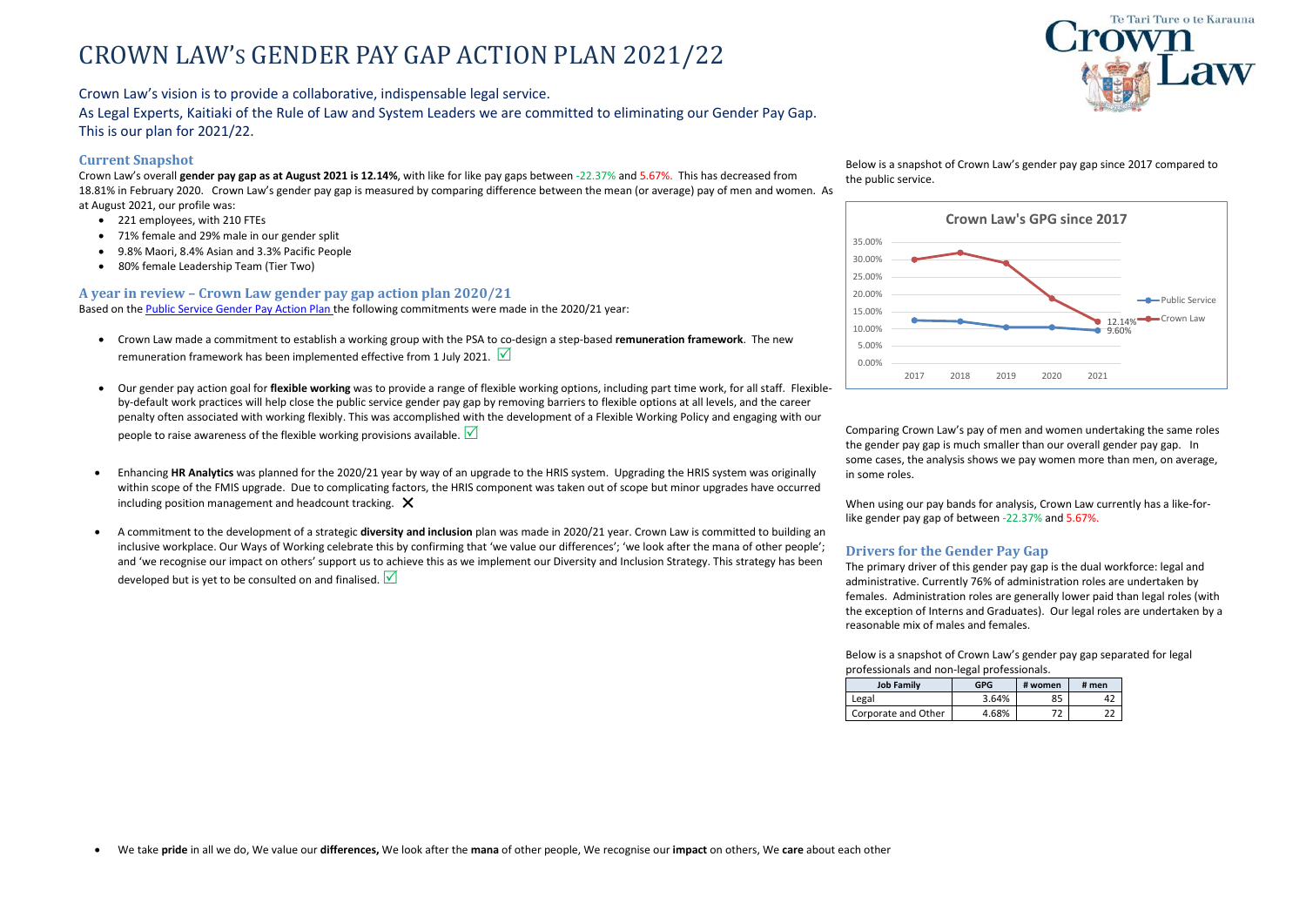# CROWN LAW'S GENDER PAY GAP ACTION PLAN 2021/22

Crown Law's vision is to provide a collaborative, indispensable legal service.

As Legal Experts, Kaitiaki of the Rule of Law and System Leaders we are committed to eliminating our Gender Pay Gap. This is our plan for 2021/22.

• We take **pride** in all we do, We value our **differences,** We look after the **mana** of other people, We recognise our **impact** on others, We **care** about each other

### **Current Snapshot**

- Crown Law made a commitment to establish a working group with the PSA to co-design a step-based **remuneration framework**. The new remuneration framework has been implemented effective from 1 July 2021.  $\sqrt{\phantom{a}}$
- Our gender pay action goal for **flexible working** was to provide a range of flexible working options, including part time work, for all staff. Flexibleby-default work practices will help close the public service gender pay gap by removing barriers to flexible options at all levels, and the career penalty often associated with working flexibly. This was accomplished with the development of a Flexible Working Policy and engaging with our people to raise awareness of the flexible working provisions available.  $\sqrt{\phantom{a}}$
- Enhancing **HR Analytics** was planned for the 2020/21 year by way of an upgrade to the HRIS system. Upgrading the HRIS system was originally within scope of the FMIS upgrade. Due to complicating factors, the HRIS component was taken out of scope but minor upgrades have occurred including position management and headcount tracking.  $\bm{\times}$
- A commitment to the development of a strategic **diversity and inclusion** plan was made in 2020/21 year. Crown Law is committed to building an inclusive workplace. Our Ways of Working celebrate this by confirming that 'we value our differences'; 'we look after the mana of other people'; and 'we recognise our impact on others' support us to achieve this as we implement our Diversity and Inclusion Strategy. This strategy has been developed but is yet to be consulted on and finalised.  $\vee$

Crown Law's overall **gender pay gap as at August 2021 is 12.14%**, with like for like pay gaps between -22.37% and 5.67%. This has decreased from 18.81% in February 2020. Crown Law's gender pay gap is measured by comparing difference between the mean (or average) pay of men and women. As at August 2021, our profile was:

- 221 employees, with 210 FTEs
- 71% female and 29% male in our gender split
- 9.8% Maori, 8.4% Asian and 3.3% Pacific People
- 80% female Leadership Team (Tier Two)

### **A year in review – Crown Law gender pay gap action plan 2020/21**

Based on the [Public Service Gender Pay Action Plan t](https://ssc.govt.nz/assets/SSC-Site-Assets/Workforce-and-Talent-Management/The-Gender-Pay-Gap-Action-Plan.pdf)he following commitments were made in the 2020/21 year:



Below is a snapshot of Crown Law's gender pay gap since 2017 compared to

the public service.

Comparing Crown Law's pay of men and women undertaking the same roles the gender pay gap is much smaller than our overall gender pay gap. In some cases, the analysis shows we pay women more than men, on average, in some roles.

When using our pay bands for analysis, Crown Law currently has a like-forlike gender pay gap of between -22.37% and 5.67%.

## **Drivers for the Gender Pay Gap**

The primary driver of this gender pay gap is the dual workforce: legal and administrative. Currently 76% of administration roles are undertaken by females. Administration roles are generally lower paid than legal roles (with the exception of Interns and Graduates). Our legal roles are undertaken by a reasonable mix of males and females.

Below is a snapshot of Crown Law's gender pay gap separated for legal professionals and non-legal professionals.

| <b>Job Family</b>   | <b>GPG</b> | # women | # men |
|---------------------|------------|---------|-------|
| Legal               | 3.64%      | 85      |       |
| Corporate and Other | 4.68%      |         |       |